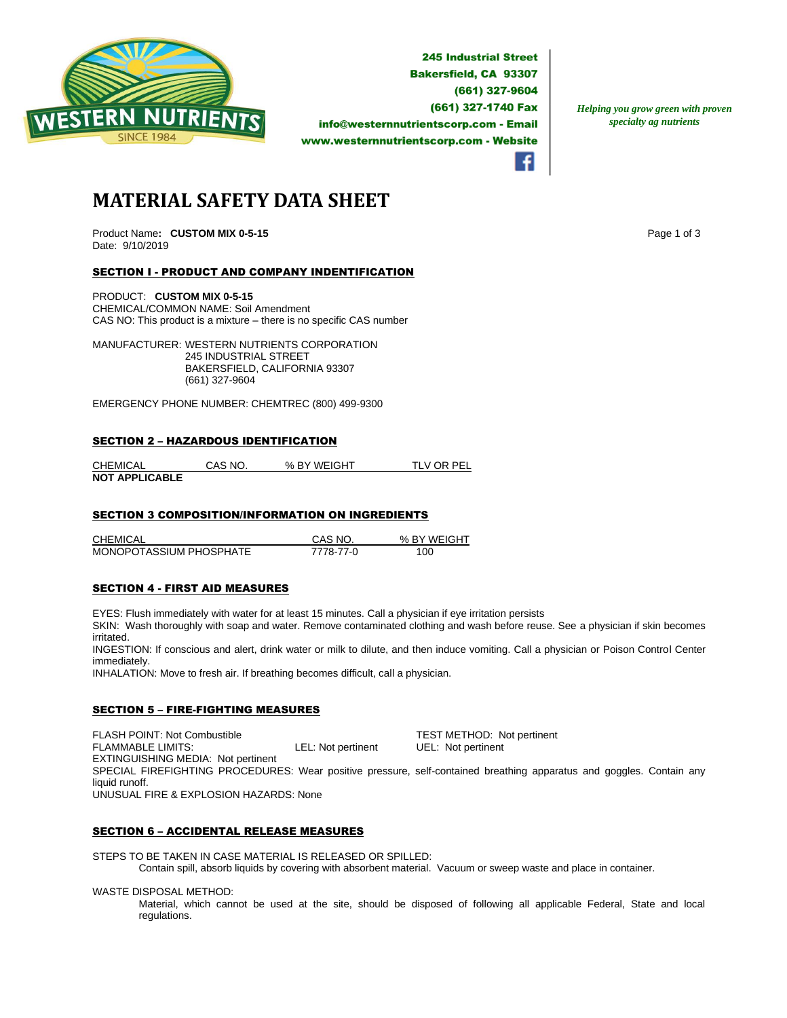

**245 Industrial Street Bakersfield, CA 93307** (661) 327-9604 (661) 327-1740 Fax info@westernnutrientscorp.com - Email www.westernnutrientscorp.com - Website

*Helping you grow green with proven specialty ag nutrients*

# **MATERIAL SAFETY DATA SHEET**

Product Name: CUSTOM MIX 0-5-15 **Page 1 of 3 Page 1 of 3** Date: 9/10/2019

# SECTION I - PRODUCT AND COMPANY INDENTIFICATION

PRODUCT: **CUSTOM MIX 0-5-15** CHEMICAL/COMMON NAME: Soil Amendment CAS NO: This product is a mixture – there is no specific CAS number

MANUFACTURER: WESTERN NUTRIENTS CORPORATION 245 INDUSTRIAL STREET BAKERSFIELD, CALIFORNIA 93307 (661) 327-9604

EMERGENCY PHONE NUMBER: CHEMTREC (800) 499-9300

#### SECTION 2 – HAZARDOUS IDENTIFICATION

| <b>CHEMICAL</b>       | CAS NO. | % BY WEIGHT | TLV OR PEL |
|-----------------------|---------|-------------|------------|
| <b>NOT APPLICABLE</b> |         |             |            |

## SECTION 3 COMPOSITION/INFORMATION ON INGREDIENTS

CHEMICAL CAS NO. % BY WEIGHT MONOPOTASSIUM PHOSPHATE 7778-77-0 100

## SECTION 4 - FIRST AID MEASURES

EYES: Flush immediately with water for at least 15 minutes. Call a physician if eye irritation persists

SKIN: Wash thoroughly with soap and water. Remove contaminated clothing and wash before reuse. See a physician if skin becomes irritated.

INGESTION: If conscious and alert, drink water or milk to dilute, and then induce vomiting. Call a physician or Poison Control Center immediately.

INHALATION: Move to fresh air. If breathing becomes difficult, call a physician.

# SECTION 5 – FIRE-FIGHTING MEASURES

FLASH POINT: Not Combustible  $\begin{array}{ccc}\n\text{TEST METHOD: Not pertinent} \\
\text{FLAMMABLE LIMITS:}\n\end{array}$ LEL: Not pertinent UEL: Not pertinent EXTINGUISHING MEDIA: Not pertinent SPECIAL FIREFIGHTING PROCEDURES: Wear positive pressure, self-contained breathing apparatus and goggles. Contain any liquid runoff. UNUSUAL FIRE & EXPLOSION HAZARDS: None

## SECTION 6 – ACCIDENTAL RELEASE MEASURES

STEPS TO BE TAKEN IN CASE MATERIAL IS RELEASED OR SPILLED: Contain spill, absorb liquids by covering with absorbent material. Vacuum or sweep waste and place in container.

WASTE DISPOSAL METHOD:

Material, which cannot be used at the site, should be disposed of following all applicable Federal, State and local regulations.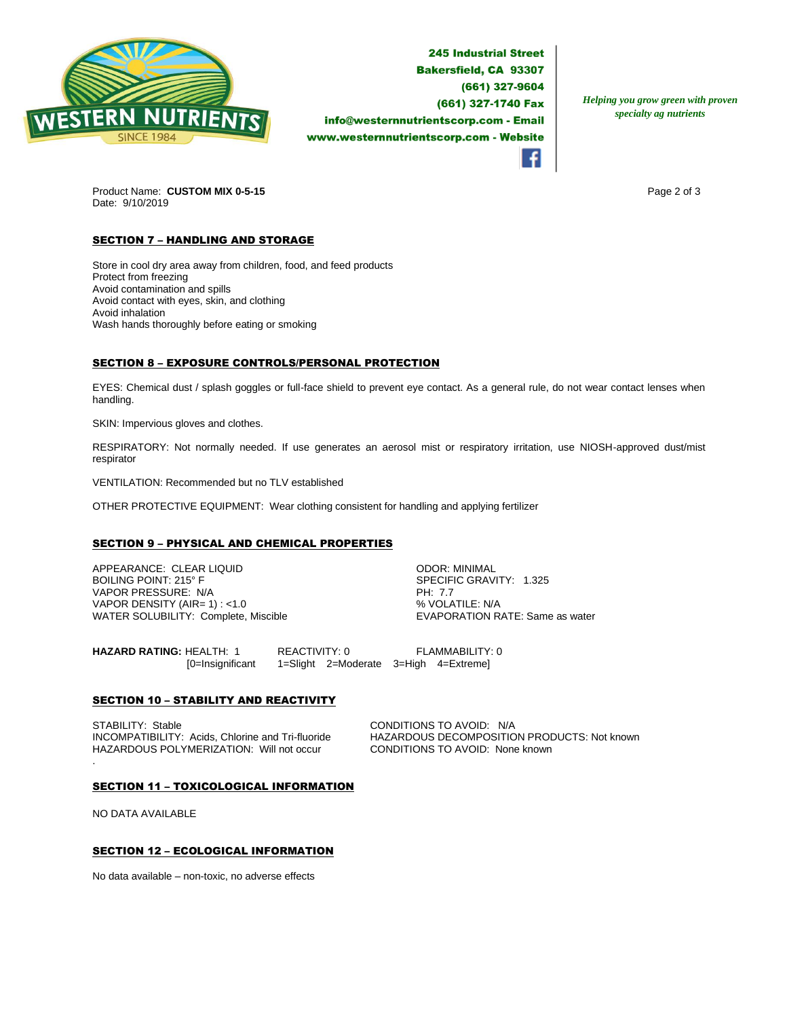

**245 Industrial Street Bakersfield, CA 93307** (661) 327-9604 (661) 327-1740 Fax info@westernnutrientscorp.com - Email www.westernnutrientscorp.com - Website

*Helping you grow green with proven specialty ag nutrients*

Product Name: **CUSTOM MIX 0-5-15 Page 2 of 3 Page 2 of 3** Date: 9/10/2019

# **SECTION 7 - HANDLING AND STORAGE**

Store in cool dry area away from children, food, and feed products Protect from freezing Avoid contamination and spills Avoid contact with eyes, skin, and clothing Avoid inhalation Wash hands thoroughly before eating or smoking

# SECTION 8 – EXPOSURE CONTROLS/PERSONAL PROTECTION

EYES: Chemical dust / splash goggles or full-face shield to prevent eye contact. As a general rule, do not wear contact lenses when handling.

SKIN: Impervious gloves and clothes.

RESPIRATORY: Not normally needed. If use generates an aerosol mist or respiratory irritation, use NIOSH-approved dust/mist respirator

VENTILATION: Recommended but no TLV established

OTHER PROTECTIVE EQUIPMENT: Wear clothing consistent for handling and applying fertilizer

## SECTION 9 – PHYSICAL AND CHEMICAL PROPERTIES

APPEARANCE: CLEAR LIQUID ODOR: MINIMAL VAPOR PRESSURE: N/A PH: 7.7 VAPOR DENSITY (AIR= 1) : <1.0<br>
WATER SOLUBILITY: Complete, Miscible  $\begin{array}{ccc}\n & \text{WAVOLATIVE: WAP} \\
 & \text{VAVAPORATION RATE: Same as water}\n\end{array}$ WATER SOLUBILITY: Complete, Miscible

SPECIFIC GRAVITY: 1.325

**HAZARD RATING:** HEALTH: 1 REACTIVITY: 0 FLAMMABILITY: 0 [0=Insignificant 1=Slight 2=Moderate 3=High 4=Extreme]

## **SECTION 10 - STABILITY AND REACTIVITY**

STABILITY: Stable CONDITIONS TO AVOID: N/A<br>INCOMPATIBILITY: Acids, Chlorine and Tri-fluoride HAZARDOUS DECOMPOSITIC HAZARDOUS POLYMERIZATION: Will not occur CONDITIONS TO AVOID: None known .

HAZARDOUS DECOMPOSITION PRODUCTS: Not known

#### SECTION 11 – TOXICOLOGICAL INFORMATION

NO DATA AVAILABLE

## SECTION 12 – ECOLOGICAL INFORMATION

No data available – non-toxic, no adverse effects